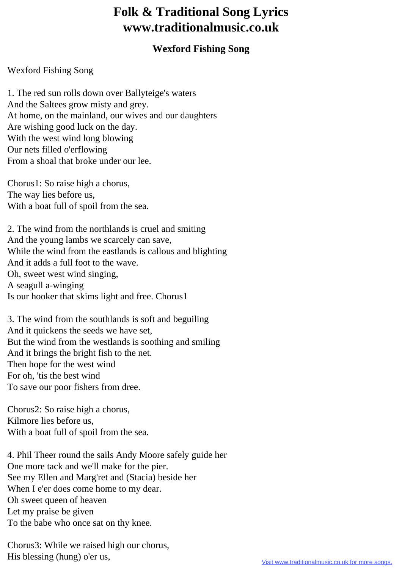## **Folk & Traditional Song Lyrics www.traditionalmusic.co.uk**

## **Wexford Fishing Song**

## Wexford Fishing Song

1. The red sun rolls down over Ballyteige's waters And the Saltees grow misty and grey. At home, on the mainland, our wives and our daughters Are wishing good luck on the day. With the west wind long blowing Our nets filled o'erflowing From a shoal that broke under our lee.

Chorus1: So raise high a chorus, The way lies before us, With a boat full of spoil from the sea.

2. The wind from the northlands is cruel and smiting And the young lambs we scarcely can save, While the wind from the eastlands is callous and blighting And it adds a full foot to the wave. Oh, sweet west wind singing, A seagull a-winging Is our hooker that skims light and free. Chorus1

3. The wind from the southlands is soft and beguiling And it quickens the seeds we have set, But the wind from the westlands is soothing and smiling And it brings the bright fish to the net. Then hope for the west wind For oh, 'tis the best wind To save our poor fishers from dree.

Chorus2: So raise high a chorus, Kilmore lies before us, With a boat full of spoil from the sea.

4. Phil Theer round the sails Andy Moore safely guide her One more tack and we'll make for the pier. See my Ellen and Marg'ret and (Stacia) beside her When I e'er does come home to my dear. Oh sweet queen of heaven Let my praise be given To the babe who once sat on thy knee.

Chorus3: While we raised high our chorus, His blessing (hung) o'er us,